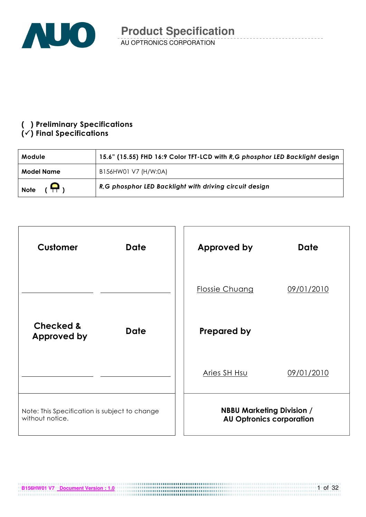

### () Preliminary Specifications

### $(\checkmark)$  Final Specifications

| Module                  | 15.6" (15.55) FHD 16:9 Color TFT-LCD with R,G phosphor LED Backlight design |  |  |  |
|-------------------------|-----------------------------------------------------------------------------|--|--|--|
| <b>Model Name</b>       | B156HW01 V7 (H/W:0A)                                                        |  |  |  |
| $(\Box)$<br><b>Note</b> | R.G phosphor LED Backlight with driving circuit design                      |  |  |  |



**B156HW01 V7** Document Version : 1.0

1 of 32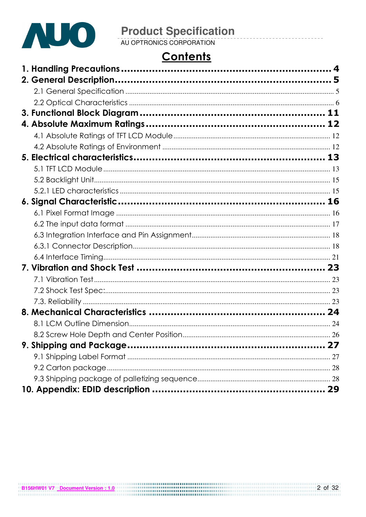

# **Product Specification**<br>AU OPTRONICS CORPORATION

# **Contents**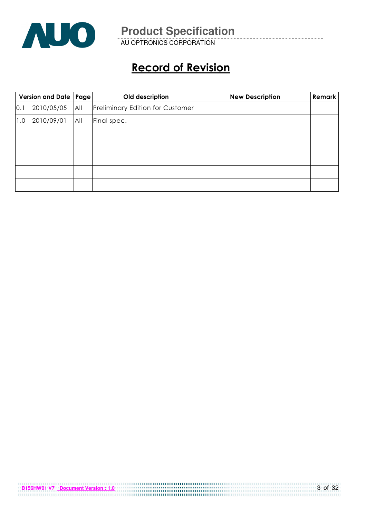

AU OPTRONICS CORPORATION

# Record of Revision

| Version and Date   Page |            |     | Old description                         | <b>New Description</b> | <b>Remark</b> |
|-------------------------|------------|-----|-----------------------------------------|------------------------|---------------|
| 0.1                     | 2010/05/05 | All | <b>Preliminary Edition for Customer</b> |                        |               |
| 1.0                     | 2010/09/01 | All | Final spec.                             |                        |               |
|                         |            |     |                                         |                        |               |
|                         |            |     |                                         |                        |               |
|                         |            |     |                                         |                        |               |
|                         |            |     |                                         |                        |               |
|                         |            |     |                                         |                        |               |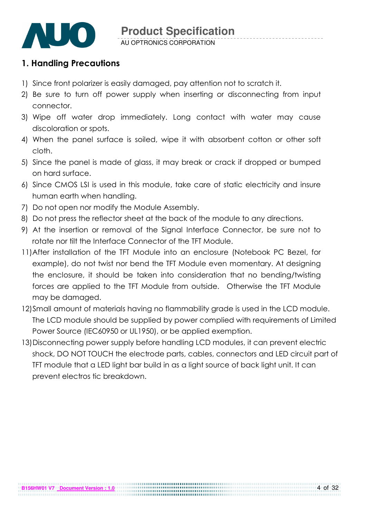

### 1. Handling Precautions

- 1) Since front polarizer is easily damaged, pay attention not to scratch it.
- 2) Be sure to turn off power supply when inserting or disconnecting from input connector.
- 3) Wipe off water drop immediately. Long contact with water may cause discoloration or spots.
- 4) When the panel surface is soiled, wipe it with absorbent cotton or other soft cloth.
- 5) Since the panel is made of glass, it may break or crack if dropped or bumped on hard surface.
- 6) Since CMOS LSI is used in this module, take care of static electricity and insure human earth when handling.
- 7) Do not open nor modify the Module Assembly.
- 8) Do not press the reflector sheet at the back of the module to any directions.
- 9) At the insertion or removal of the Signal Interface Connector, be sure not to rotate nor tilt the Interface Connector of the TFT Module.
- 11) After installation of the TFT Module into an enclosure (Notebook PC Bezel, for example), do not twist nor bend the TFT Module even momentary. At designing the enclosure, it should be taken into consideration that no bending/twisting forces are applied to the TFT Module from outside. Otherwise the TFT Module may be damaged.
- 12)Small amount of materials having no flammability grade is used in the LCD module. The LCD module should be supplied by power complied with requirements of Limited Power Source (IEC60950 or UL1950), or be applied exemption.
- 13)Disconnecting power supply before handling LCD modules, it can prevent electric shock, DO NOT TOUCH the electrode parts, cables, connectors and LED circuit part of TFT module that a LED light bar build in as a light source of back light unit. It can prevent electros tic breakdown.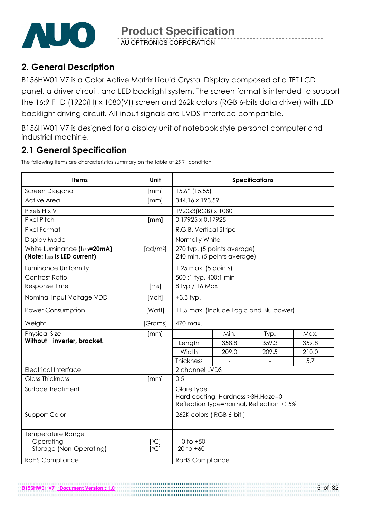

AU OPTRONICS CORPORATION

### 2. General Description

B156HW01 V7 is a Color Active Matrix Liquid Crystal Display composed of a TFT LCD panel, a driver circuit, and LED backlight system. The screen format is intended to support the 16:9 FHD (1920(H) x 1080(V)) screen and 262k colors (RGB 6-bits data driver) with LED backlight driving circuit. All input signals are LVDS interface compatible.

B156HW01 V7 is designed for a display unit of notebook style personal computer and industrial machine.

### 2.1 General Specification

The following items are characteristics summary on the table at 25  $\degree$ C condition:

**B156HW01 V7 Document Version : 1.0**

| <b>Items</b>                                               | Unit                 | <b>Specifications</b>                                                                              |                                                            |       |       |  |  |
|------------------------------------------------------------|----------------------|----------------------------------------------------------------------------------------------------|------------------------------------------------------------|-------|-------|--|--|
| Screen Diagonal                                            | [mm]                 | 15.6" (15.55)                                                                                      |                                                            |       |       |  |  |
| <b>Active Area</b>                                         | [mm]                 | 344.16 x 193.59                                                                                    |                                                            |       |       |  |  |
| Pixels H x V                                               |                      | 1920x3(RGB) x 1080                                                                                 |                                                            |       |       |  |  |
| <b>Pixel Pitch</b>                                         | [mm]                 | 0.17925 x 0.17925                                                                                  |                                                            |       |       |  |  |
| Pixel Format                                               |                      | R.G.B. Vertical Stripe                                                                             |                                                            |       |       |  |  |
| Display Mode                                               |                      | Normally White                                                                                     |                                                            |       |       |  |  |
| White Luminance (ILED=20mA)<br>(Note: ILED is LED current) | [cd/m <sup>2</sup> ] |                                                                                                    | 270 typ. (5 points average)<br>240 min. (5 points average) |       |       |  |  |
| Luminance Uniformity                                       |                      | 1.25 max. (5 points)                                                                               |                                                            |       |       |  |  |
| Contrast Ratio                                             |                      | 500:1 typ, 400:1 min                                                                               |                                                            |       |       |  |  |
| Response Time                                              | [ms]                 | 8 typ / 16 Max                                                                                     |                                                            |       |       |  |  |
| Nominal Input Voltage VDD                                  | [Volt]               | $+3.3$ typ.                                                                                        |                                                            |       |       |  |  |
| <b>Power Consumption</b>                                   | [Watt]               | 11.5 max. (Include Logic and Blu power)                                                            |                                                            |       |       |  |  |
| Weight                                                     | [Grams]              | 470 max.                                                                                           |                                                            |       |       |  |  |
| <b>Physical Size</b>                                       | [mm]                 |                                                                                                    | Min.                                                       | Typ.  | Max.  |  |  |
| Without inverter, bracket.                                 |                      | Length                                                                                             | 358.8                                                      | 359.3 | 359.8 |  |  |
|                                                            |                      | Width                                                                                              | 209.0                                                      | 209.5 | 210.0 |  |  |
|                                                            |                      | Thickness                                                                                          |                                                            |       | 5.7   |  |  |
| <b>Electrical Interface</b>                                |                      | 2 channel LVDS                                                                                     |                                                            |       |       |  |  |
| <b>Glass Thickness</b>                                     | [mm]                 | 0.5                                                                                                |                                                            |       |       |  |  |
| Surface Treatment                                          |                      | Glare type<br>Hard coating, Hardness > 3H, Haze=0<br>Reflection type=normal, Reflection $\leq 5\%$ |                                                            |       |       |  |  |
| Support Color                                              |                      | 262K colors (RGB 6-bit)                                                                            |                                                            |       |       |  |  |
| Temperature Range<br>Operating<br>Storage (Non-Operating)  | [°C]<br>[°C]         | 0 to $+50$<br>$-20$ to $+60$                                                                       |                                                            |       |       |  |  |
| <b>RoHS</b> Compliance                                     |                      | <b>RoHS Compliance</b>                                                                             |                                                            |       |       |  |  |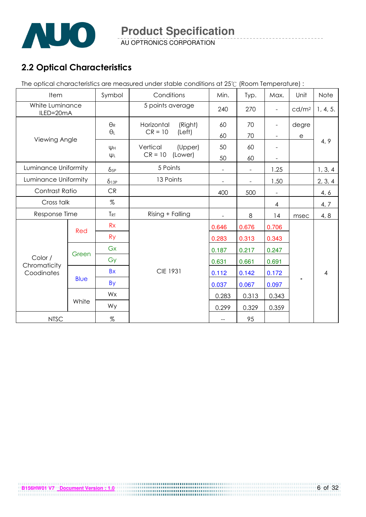

AU OPTRONICS CORPORATION

### 2.2 Optical Characteristics

The optical characteristics are measured under stable conditions at 25°C (Room Temperature) :

| Item                         |             | Symbol       | Conditions            | Min.  | Typ.                     | Max.                     | Unit              | Note     |
|------------------------------|-------------|--------------|-----------------------|-------|--------------------------|--------------------------|-------------------|----------|
| White Luminance<br>ILED=20mA |             |              | 5 points average      | 240   | 270                      | ÷,                       | cd/m <sup>2</sup> | 1, 4, 5. |
|                              |             | $\Theta_{R}$ | Horizontal<br>(Right) | 60    | 70                       |                          | degre             |          |
| Viewing Angle                |             | $\theta_L$   | $CR = 10$<br>(Left)   | 60    | 70                       | $\overline{\phantom{a}}$ | е                 |          |
|                              |             | Ųн           | Vertical<br>(Upper)   | 50    | 60                       |                          |                   | 4, 9     |
|                              |             | ΨL           | $CR = 10$<br>(Lower)  | 50    | 60                       |                          |                   |          |
| Luminance Uniformity         |             | $\delta$ 5P  | 5 Points              |       | $\overline{\phantom{a}}$ | 1.25                     |                   | 1, 3, 4  |
| Luminance Uniformity         |             | $\delta$ 13P | 13 Points             |       | $\overline{\phantom{a}}$ | 1.50                     |                   | 2, 3, 4  |
| Contrast Ratio               |             | CR           |                       | 400   | 500                      | $\overline{\phantom{0}}$ |                   | 4, 6     |
| Cross talk                   |             | $\%$         |                       |       |                          | $\overline{4}$           |                   | 4, 7     |
| Response Time                |             | <b>TRT</b>   | Rising + Falling      |       | 8                        | 14                       | msec              | 4, 8     |
|                              | Red         | Rx           |                       | 0.646 | 0.676                    | 0.706                    |                   |          |
|                              |             | <b>Ry</b>    |                       | 0.283 | 0.313                    | 0.343                    |                   |          |
|                              | Green       | Gx           |                       | 0.187 | 0.217                    | 0.247                    |                   |          |
| Color /                      |             | Gy           |                       | 0.631 | 0.661                    | 0.691                    |                   |          |
| Chromaticity<br>Coodinates   |             | <b>Bx</b>    | <b>CIE 1931</b>       | 0.112 | 0.142                    | 0.172                    |                   | 4        |
|                              | <b>Blue</b> | <b>By</b>    |                       | 0.037 | 0.067                    | 0.097                    |                   |          |
|                              |             | Wx           |                       | 0.283 | 0.313                    | 0.343                    |                   |          |
|                              | White       | Wy           |                       | 0.299 | 0.329                    | 0.359                    |                   |          |
| <b>NTSC</b>                  |             | $\%$         |                       |       | 95                       |                          |                   |          |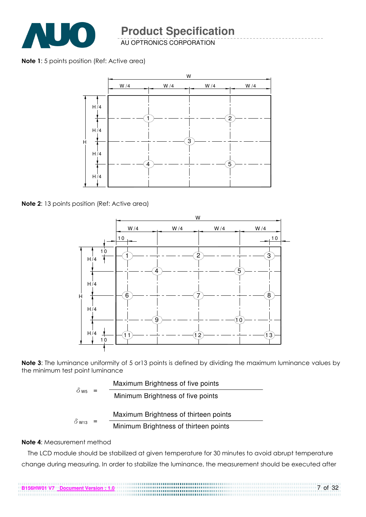

AU OPTRONICS CORPORATION

#### Note 1: 5 points position (Ref: Active area)



Note 2: 13 points position (Ref: Active area)



Note 3: The luminance uniformity of 5 or 13 points is defined by dividing the maximum luminance values by the minimum test point luminance

|                            |  | Maximum Brightness of five points     |
|----------------------------|--|---------------------------------------|
| $\delta$ w <sub>5</sub> =  |  | Minimum Brightness of five points     |
|                            |  | Maximum Brightness of thirteen points |
| $\delta$ w <sub>13</sub> = |  | Minimum Brightness of thirteen points |

#### Note 4: Measurement method

The LCD module should be stabilized at given temperature for 30 minutes to avoid abrupt temperature change during measuring. In order to stabilize the luminance, the measurement should be executed after

7 of 32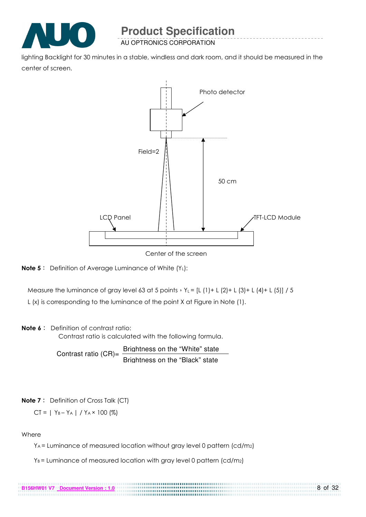

AU OPTRONICS CORPORATION

lighting Backlight for 30 minutes in a stable, windless and dark room, and it should be measured in the center of screen.



Center of the screen



Measure the luminance of gray level 63 at 5 points  $Y_L = [L (1) + L (2) + L (3) + L (4) + L (5)] / 5$ 

L (x) is corresponding to the luminance of the point X at Figure in Note (1).

#### Note 6: Definition of contrast ratio:

Contrast ratio is calculated with the following formula.

Contrast ratio  $(CR)$ = Brightness on the "White" state Brightness on the "Black" state

#### Note 7: Definition of Cross Talk (CT)

$$
CT = | Y_B - Y_A | / Y_A \times 100 (%)
$$

**B156HW01 V7 Document Version : 1.0**

#### Where

YA = Luminance of measured location without gray level 0 pattern (cd/m2)

..............

 $Y_B$  = Luminance of measured location with gray level 0 pattern (cd/m<sub>2</sub>)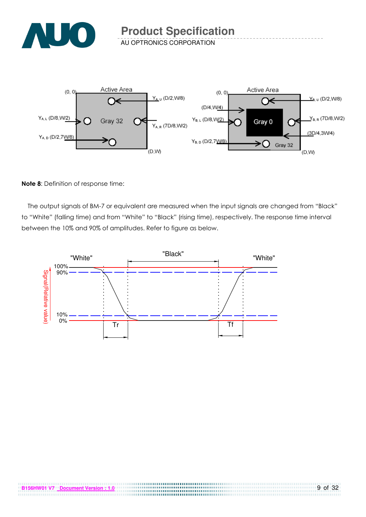

AU OPTRONICS CORPORATION



#### Note 8: Definition of response time:

The output signals of BM-7 or equivalent are measured when the input signals are changed from "Black" to "White" (falling time) and from "White" to "Black" (rising time), respectively. The response time interval between the 10% and 90% of amplitudes. Refer to figure as below.

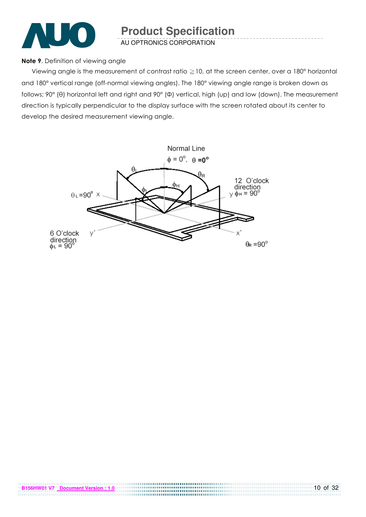

AU OPTRONICS CORPORATION

#### Note 9. Definition of viewing angle

Viewing angle is the measurement of contrast ratio  $\geq$  10, at the screen center, over a 180° horizontal and 180° vertical range (off-normal viewing angles). The 180° viewing angle range is broken down as follows; 90° (θ) horizontal left and right and 90° (Φ) vertical, high (up) and low (down). The measurement direction is typically perpendicular to the display surface with the screen rotated about its center to develop the desired measurement viewing angle.

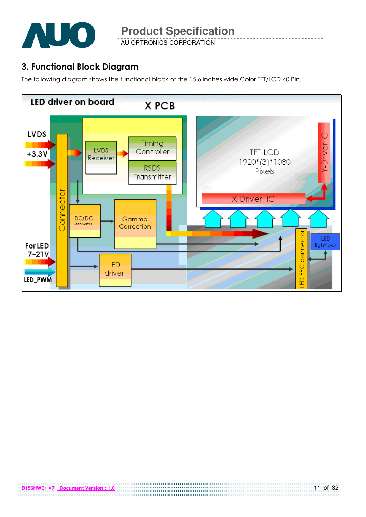

AU OPTRONICS CORPORATION

### 3. Functional Block Diagram

The following diagram shows the functional block of the 15.6 inches wide Color TFT/LCD 40 Pin.

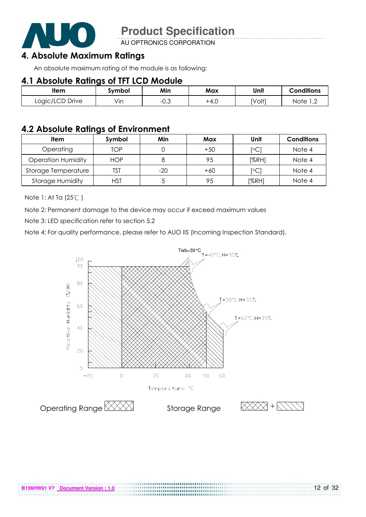

AU OPTRONICS CORPORATION

### 4. Absolute Maximum Ratings

An absolute maximum rating of the module is as following:

### 4.1 Absolute Ratings of TFT LCD Module

| ltem            | Svmbol | Min       | Max  | Unit   | <b>Conditions</b>      |
|-----------------|--------|-----------|------|--------|------------------------|
| Logic/LCD Drive | Vin    | ົ<br>−∪.∪ | +4.0 | [Volt] | Note<br>$\overline{ }$ |

### 4.2 Absolute Ratings of Environment

| <b>Item</b>               | Symbol     | Min   | Max   | Unit                    | <b>Conditions</b> |
|---------------------------|------------|-------|-------|-------------------------|-------------------|
| Operating                 | TOP        |       | $+50$ | $\lceil \circ C \rceil$ | Note 4            |
| <b>Operation Humidity</b> | <b>HOP</b> |       | 95    | [%RH]                   | Note 4            |
| Storage Temperature       | TST        | $-20$ | $+60$ | $\lceil \circ C \rceil$ | Note 4            |
| <b>Storage Humidity</b>   | HST        |       | 95    | [%RH]                   | Note 4            |

Note 1: At Ta (25°C)

Note 2: Permanent damage to the device may occur if exceed maximum values

Note 3: LED specification refer to section 5.2

Note 4: For quality performance, please refer to AUO IIS (Incoming Inspection Standard).

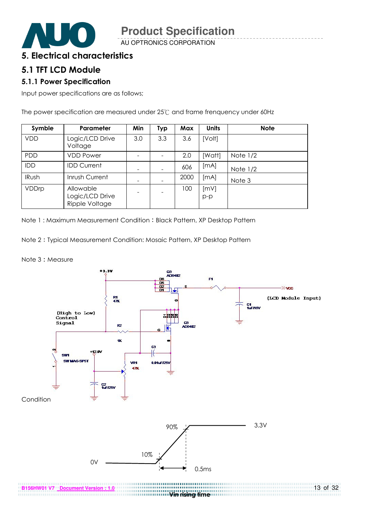

AU OPTRONICS CORPORATION

### 5. Electrical characteristics

### 5.1 TFT LCD Module

#### 5.1.1 Power Specification

Input power specifications are as follows;

The power specification are measured under 25°C and frame frenquency under 60Hz

| Symble       | Parameter                                      | Min | <b>Typ</b> | Max  | <b>Units</b>  | <b>Note</b> |
|--------------|------------------------------------------------|-----|------------|------|---------------|-------------|
| <b>VDD</b>   | Logic/LCD Drive<br>Voltage                     | 3.0 | 3.3        | 3.6  | [Volt]        |             |
| PDD          | <b>VDD Power</b>                               |     |            | 2.0  | [Watt]        | Note $1/2$  |
| IDD          | <b>IDD Current</b>                             |     |            | 606  | [mA]          | Note $1/2$  |
| <b>IRush</b> | Inrush Current                                 |     |            | 2000 | [mA]          | Note 3      |
| VDDrp        | Allowable<br>Logic/LCD Drive<br>Ripple Voltage |     |            | 100  | [mV]<br>$p-p$ |             |

Note 1: Maximum Measurement Condition: Black Pattern, XP Desktop Pattern

Note 2 Typical Measurement Condition: Mosaic Pattern, XP Desktop Pattern

Note 3: Measure

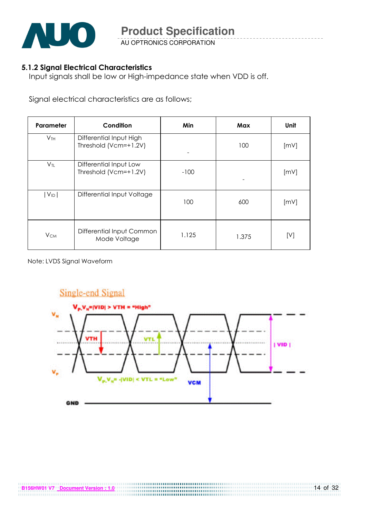

AU OPTRONICS CORPORATION

#### 5.1.2 Signal Electrical Characteristics

Input signals shall be low or High-impedance state when VDD is off.

Signal electrical characteristics are as follows;

| Parameter              | Condition                                        | Min    | Max   | Unit |
|------------------------|--------------------------------------------------|--------|-------|------|
| V <sub>TH</sub>        | Differential Input High<br>Threshold (Vcm=+1.2V) |        | 100   | [mV] |
| $V_{TL}$               | Differential Input Low<br>Threshold (Vcm=+1.2V)  | $-100$ |       | [mV] |
| $ V_{ID} $             | Differential Input Voltage                       | 100    | 600   | [mV] |
| <b>V</b> <sub>CM</sub> | Differential Input Common<br>Mode Voltage        | 1.125  | 1.375 | [V]  |

Note: LVDS Signal Waveform

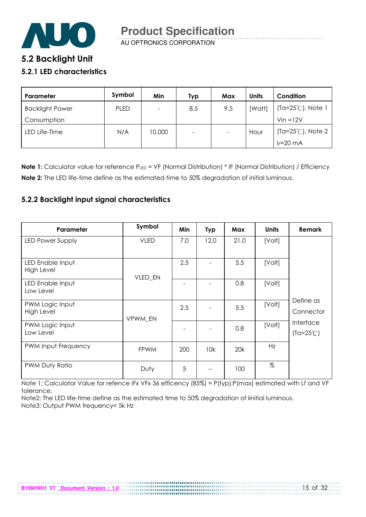

AU OPTRONICS CORPORATION

### 5.2 Backlight Unit

#### 5.2.1 LED characteristics

| Parameter              | Symbol      | Min      | Typ                      | Max                      | <b>Units</b> | Condition                   |
|------------------------|-------------|----------|--------------------------|--------------------------|--------------|-----------------------------|
| <b>Backlight Power</b> | <b>PLED</b> | $\equiv$ | 8.5                      | 9.5                      | [Watt]       | (Ta=25℃), Note 1            |
| Consumption            |             |          |                          |                          |              | $V$ in = $12V$              |
| LED Life-Time          | N/A         | 10,000   | $\overline{\phantom{0}}$ | $\overline{\phantom{a}}$ | Hour         | $(Ta=25^{\circ}C)$ , Note 2 |
|                        |             |          |                          |                          |              | $I_F = 20$ mA               |

Note 1: Calculator value for reference PLED = VF (Normal Distribution) \* IF (Normal Distribution) / Efficiency Note 2: The LED life-time define as the estimated time to 50% degradation of initial luminous.

#### 5.2.2 Backlight input signal characteristics

| Parameter                      | Symbol      | Min | <b>Typ</b> | Max  | <b>Units</b> | Remark                          |
|--------------------------------|-------------|-----|------------|------|--------------|---------------------------------|
| LED Power Supply               | <b>VLED</b> | 7.0 | 12.0       | 21.0 | [Volt]       |                                 |
| LED Enable Input<br>High Level | VLED_EN     | 2.5 |            | 5.5  | [Volt]       |                                 |
| LED Enable Input<br>Low Level  |             |     |            | 0.8  | [Volt]       |                                 |
| PWM Logic Input<br>High Level  | VPWM EN     | 2.5 |            | 5.5  | [Volt]       | Define as<br>Connector          |
| PWM Logic Input<br>Low Level   |             |     |            | 0.8  | [Volt]       | Interface<br>$(Ta=25^{\circ}C)$ |
| PWM Input Frequency            | <b>FPWM</b> | 200 | 10k        | 20k  | Hz           |                                 |
| PWM Duty Ratio                 | Duty        | 5   |            | 100  | $\%$         |                                 |

Note 1: Calculator Value for refence IFx VFx 36 efficency (85%) = P(typ);P(max) estimated with Lf and VF tolerance.

Note2: The LED life-time define as the estimated time to 50% degradation of iinitial luminous. Note3: Output PWM frequency< 5k Hz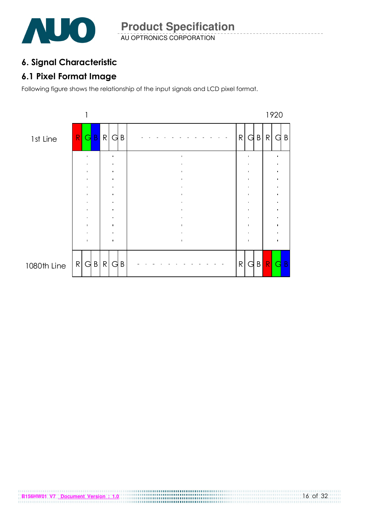

### 6. Signal Characteristic

### 6.1 Pixel Format Image

Following figure shows the relationship of the input signals and LCD pixel format.

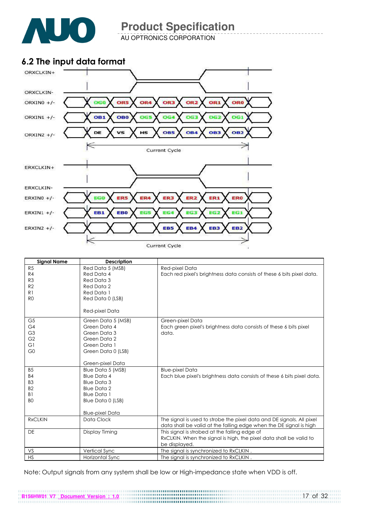

AU OPTRONICS CORPORATION

### 6.2 The input data format



| <b>Signal Name</b> | <b>Description</b>     |                                                                        |
|--------------------|------------------------|------------------------------------------------------------------------|
| R5                 | Red Data 5 (MSB)       | Red-pixel Data                                                         |
| R4                 | Red Data 4             | Each red pixel's brightness data consists of these 6 bits pixel data.  |
| R <sub>3</sub>     | Red Data 3             |                                                                        |
| R <sub>2</sub>     | Red Data 2             |                                                                        |
| R <sub>1</sub>     | Red Data 1             |                                                                        |
| R <sub>0</sub>     | Red Data 0 (LSB)       |                                                                        |
|                    | Red-pixel Data         |                                                                        |
| G <sub>5</sub>     | Green Data 5 (MSB)     | Green-pixel Data                                                       |
| G <sub>4</sub>     | Green Data 4           | Each green pixel's brightness data consists of these 6 bits pixel      |
| G <sub>3</sub>     | Green Data 3           | data.                                                                  |
| G <sub>2</sub>     | Green Data 2           |                                                                        |
| G1                 | Green Data 1           |                                                                        |
| G <sub>0</sub>     | Green Data 0 (LSB)     |                                                                        |
|                    | Green-pixel Data       |                                                                        |
| B <sub>5</sub>     | Blue Data 5 (MSB)      | <b>Blue-pixel Data</b>                                                 |
| <b>B4</b>          | <b>Blue Data 4</b>     | Each blue pixel's brightness data consists of these 6 bits pixel data. |
| B <sub>3</sub>     | <b>Blue Data 3</b>     |                                                                        |
| B <sub>2</sub>     | <b>Blue Data 2</b>     |                                                                        |
| B <sub>1</sub>     | <b>Blue Data 1</b>     |                                                                        |
| B <sub>O</sub>     | Blue Data 0 (LSB)      |                                                                        |
|                    |                        |                                                                        |
|                    | <b>Blue-pixel Data</b> |                                                                        |
| <b>RxCLKIN</b>     | Data Clock             | The signal is used to strobe the pixel data and DE signals. All pixel  |
|                    |                        | data shall be valid at the falling edge when the DE signal is high     |
| <b>DE</b>          | Display Timing         | This signal is strobed at the falling edge of                          |
|                    |                        | RxCLKIN. When the signal is high, the pixel data shall be valid to     |
| VS                 |                        | be displayed.                                                          |
| <b>HS</b>          | Vertical Sync          | The signal is synchronized to RxCLKIN.                                 |
|                    | Horizontal Sync        | The signal is synchronized to RxCLKIN.                                 |

Note: Output signals from any system shall be low or High-impedance state when VDD is off.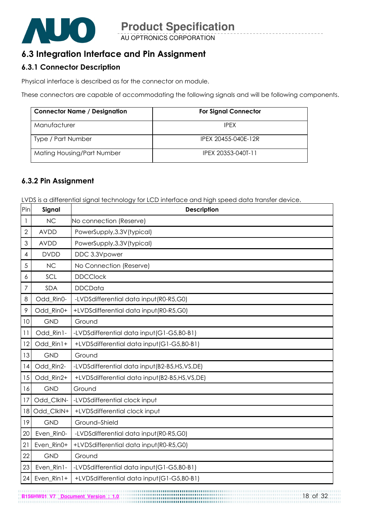

### 6.3 Integration Interface and Pin Assignment

#### 6.3.1 Connector Description

Physical interface is described as for the connector on module.

These connectors are capable of accommodating the following signals and will be following components.

| <b>Connector Name / Designation</b> | <b>For Signal Connector</b> |
|-------------------------------------|-----------------------------|
| Manufacturer                        | <b>IPFX</b>                 |
| Type / Part Number                  | IPEX 20455-040E-12R         |
| Mating Housing/Part Number          | IPEX 20353-040T-11          |

#### 6.3.2 Pin Assignment

LVDS is a differential signal technology for LCD interface and high speed data transfer device.

| Pin          | Signal      | <b>Description</b>                           |
|--------------|-------------|----------------------------------------------|
| 1            | <b>NC</b>   | No connection (Reserve)                      |
| $\mathbf{2}$ | <b>AVDD</b> | PowerSupply, 3.3V (typical)                  |
| 3            | <b>AVDD</b> | PowerSupply, 3.3V (typical)                  |
| 4            | <b>DVDD</b> | DDC 3.3Vpower                                |
| 5            | <b>NC</b>   | No Connection (Reserve)                      |
| 6            | SCL         | <b>DDCClock</b>                              |
| 7            | <b>SDA</b>  | <b>DDCData</b>                               |
| 8            | Odd_Rin0-   | -LVDSdifferential data input(R0-R5,G0)       |
| 9            | Odd Rin0+   | +LVDSdifferential data input(R0-R5,G0)       |
| 10           | <b>GND</b>  | Ground                                       |
| 11           | Odd_Rin1-   | -LVDSdifferential data input (G1-G5, B0-B1)  |
| 12           | Odd_Rin1+   | +LVDSdifferential data input(G1-G5,B0-B1)    |
| 13           | <b>GND</b>  | Ground                                       |
| 14           | Odd_Rin2-   | -LVDSdifferential data input(B2-B5,HS,VS,DE) |
| 15           | Odd_Rin2+   | +LVDSdifferential data input(B2-B5,HS,VS,DE) |
| 16           | <b>GND</b>  | Ground                                       |
| 17           | Odd_ClkIN-  | -LVDSdifferential clock input                |
| 18           | Odd ClkIN+  | +LVDSdifferential clock input                |
| 19           | <b>GND</b>  | Ground-Shield                                |
| 20           | Even_Rin0-  | -LVDSdifferential data input (R0-R5,G0)      |
| 21           | Even_Rin0+  | +LVDSdifferential data input(R0-R5,G0)       |
| 22           | <b>GND</b>  | Ground                                       |
| 23           | Even_Rin1-  | -LVDSdifferential data input (G1-G5, B0-B1)  |
| 24           | Even_Rin1+  | +LVDSdifferential data input(G1-G5,B0-B1)    |

**B156HW01 V7** <u>Document Version : 1.0</u> **156HW01 V7** Document Version : 1.0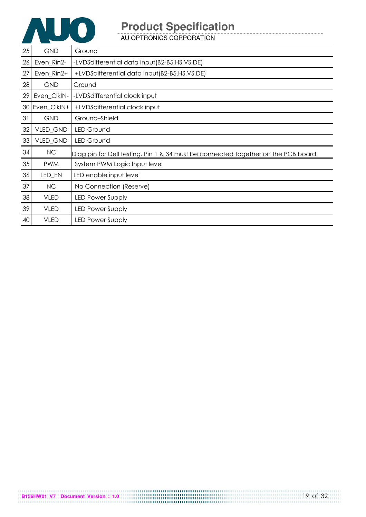

| 25 | <b>GND</b>  | Ground                                                                            |
|----|-------------|-----------------------------------------------------------------------------------|
| 26 | Even_Rin2-  | -LVDSdifferential data input(B2-B5,HS,VS,DE)                                      |
| 27 | Even_Rin2+  | +LVDSdifferential data input(B2-B5,HS,VS,DE)                                      |
| 28 | <b>GND</b>  | Ground                                                                            |
| 29 | Even_ClkIN- | -LVDSdifferential clock input                                                     |
| 30 | Even_ClkIN+ | +LVDSdifferential clock input                                                     |
| 31 | <b>GND</b>  | Ground-Shield                                                                     |
| 32 | VLED_GND    | <b>LED Ground</b>                                                                 |
| 33 | VLED_GND    | <b>LED Ground</b>                                                                 |
| 34 | NC          | Diag pin for Dell testing. Pin 1 & 34 must be connected together on the PCB board |
| 35 | <b>PWM</b>  | System PWM Logic Input level                                                      |
| 36 | LED_EN      | LED enable input level                                                            |
| 37 | NC          | No Connection (Reserve)                                                           |
| 38 | <b>VLED</b> | <b>LED Power Supply</b>                                                           |
| 39 | <b>VLED</b> | <b>LED Power Supply</b>                                                           |
| 40 | <b>VLED</b> | <b>LED Power Supply</b>                                                           |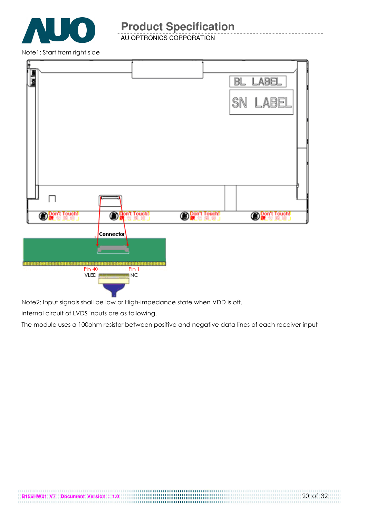

AU OPTRONICS CORPORATION

Note1: Start from right side



Note2: Input signals shall be low or High-impedance state when VDD is off.

internal circuit of LVDS inputs are as following.

The module uses a 100ohm resistor between positive and negative data lines of each receiver input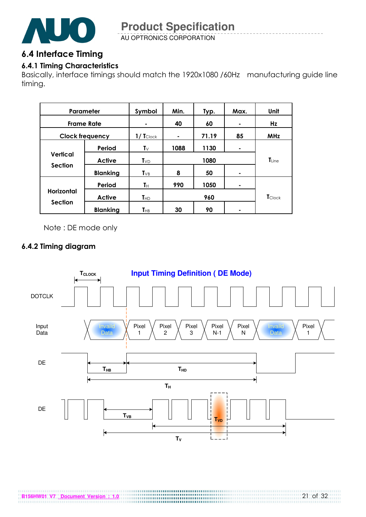

AU OPTRONICS CORPORATION

### 6.4 Interface Timing

### 6.4.1 Timing Characteristics

Basically, interface timings should match the 1920x1080 /60Hz manufacturing guide line timing.

| Parameter                           |                 | Symbol                | Min. | Typ.  | Max. | Unit           |
|-------------------------------------|-----------------|-----------------------|------|-------|------|----------------|
| <b>Frame Rate</b>                   |                 | ۰                     | 40   | 60    | ۰    | Hz             |
| <b>Clock frequency</b>              |                 | $1/ T_{\text{Clock}}$ | ۰    | 71.19 | 85   | <b>MHz</b>     |
| Vertical<br><b>Section</b>          | Period          | $\mathbf{T} \vee$     | 1088 | 1130  | ۰    |                |
|                                     | <b>Active</b>   | $T_{VD}$              | 1080 |       |      | $T_{Line}$     |
|                                     | <b>Blanking</b> | $T_{VB}$              | 8    | 50    |      |                |
|                                     | Period          | Tн                    | 990  | 1050  | ۰    |                |
| <b>Horizontal</b><br><b>Section</b> | <b>Active</b>   | $T_{HD}$              |      | 960   |      | <b>T</b> Clock |
|                                     | <b>Blanking</b> | $\mathbf{T}_{\sf HB}$ | 30   | 90    |      |                |

Note : DE mode only

#### 6.4.2 Timing diagram

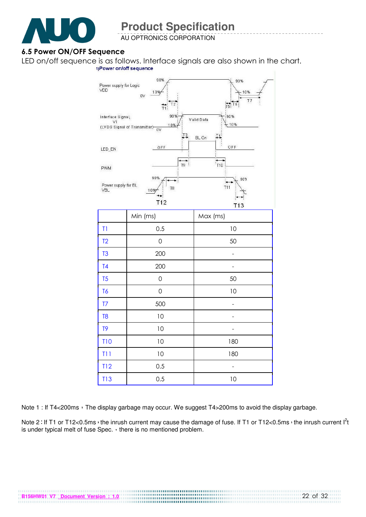

AU OPTRONICS CORPORATION

#### 6.5 Power ON/OFF Sequence

LED on/off sequence is as follows. Interface signals are also shown in the chart.<br>
1)Power on/off sequence



Note 1 : If T4<200ms  $\cdot$  The display garbage may occur. We suggest T4>200ms to avoid the display garbage.

Note 2: If T1 or T12<0.5ms, the inrush current may cause the damage of fuse. If T1 or T12<0.5ms, the inrush current  $I^2t$ is under typical melt of fuse Spec.  $\cdot$  there is no mentioned problem.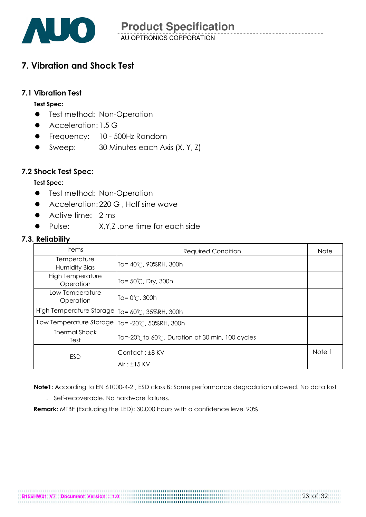

### 7. Vibration and Shock Test

#### 7.1 Vibration Test

#### Test Spec:

- **•** Test method: Non-Operation
- Acceleration: 1.5 G
- **•** Frequency: 10 500Hz Random
- Sweep: 30 Minutes each Axis (X, Y, Z)

#### 7.2 Shock Test Spec:

#### Test Spec:

- **•** Test method: Non-Operation
- Acceleration: 220 G, Half sine wave
- Active time: 2 ms
- Pulse: XY7 one time for each side

#### 7.3. Reliability

| <b>Items</b>                         | <b>Required Condition</b>                     | <b>Note</b> |
|--------------------------------------|-----------------------------------------------|-------------|
| Temperature<br><b>Humidity Bias</b>  | Ta= 40℃, 90%RH, 300h                          |             |
| <b>High Temperature</b><br>Operation | Ta= 50℃, Dry, 300h                            |             |
| Low Temperature<br>Operation         | lTa= 0℃, 300h                                 |             |
| High Temperature Storage             | Ta= 60°C, 35%RH, 300h                         |             |
| Low Temperature Storage              | Ta= -20℃, 50%RH, 300h                         |             |
| <b>Thermal Shock</b><br>Test         | Ta=-20℃to 60℃, Duration at 30 min, 100 cycles |             |
| ESD                                  | Contact: ±8 KV<br>$Air: \pm 15$ KV            | Note 1      |

 Note1: According to EN 61000-4-2 , ESD class B: Some performance degradation allowed. No data lost . Self-recoverable. No hardware failures.

Remark: MTBF (Excluding the LED): 30,000 hours with a confidence level 90%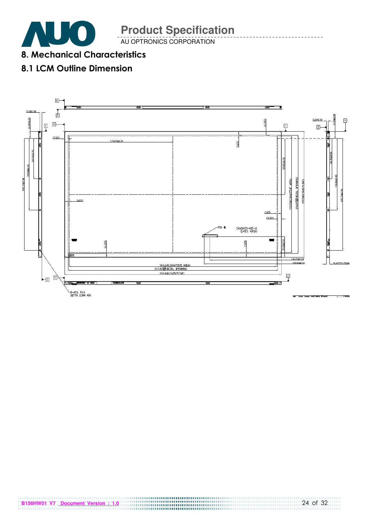AU OPTRONICS CORPORATION

8. Mechanical Characteristics

## 8.1 LCM Outline Dimension

 $\sqrt{2}$ 

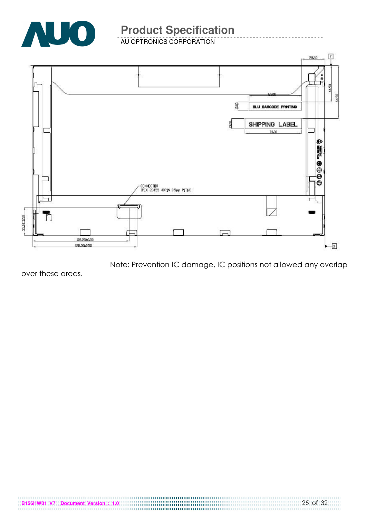

AU OPTRONICS CORPORATION



Note: Prevention IC damage, IC positions not allowed any overlap

over these areas.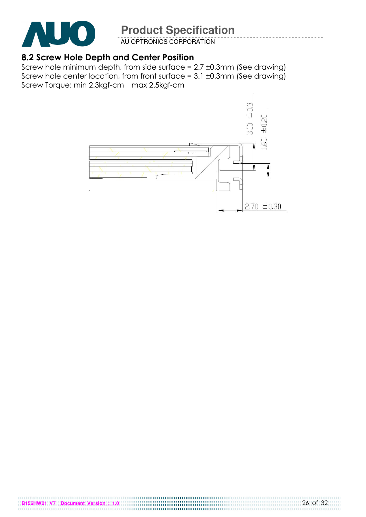

AU OPTRONICS CORPORATION

### 8.2 Screw Hole Depth and Center Position

Screw hole minimum depth, from side surface = 2.7 ±0.3mm (See drawing) Screw hole center location, from front surface =  $3.1 \pm 0.3$ mm (See drawing) Screw Torque: min 2.3kgf-cm max 2.5kgf-cm



**B156HW01 V7** <u>Document Version : 1.0</u> **B156HW01 V7** <u>Document Version : 1.0</u>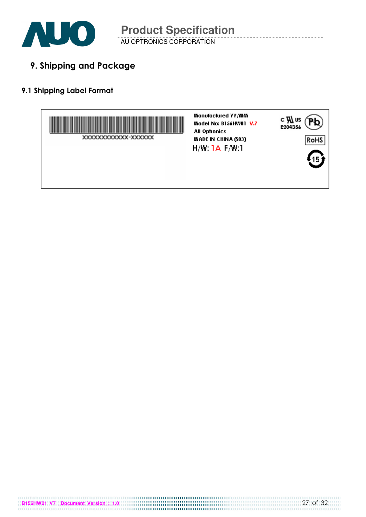

AU OPTRONICS CORPORATION

9. Shipping and Package

### 9.1 Shipping Label Format

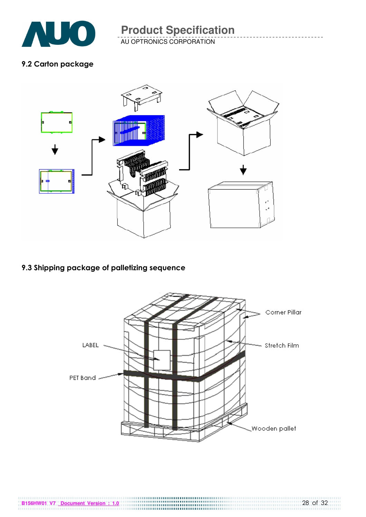

AU OPTRONICS CORPORATION

### 9.2 Carton package



### 9.3 Shipping package of palletizing sequence

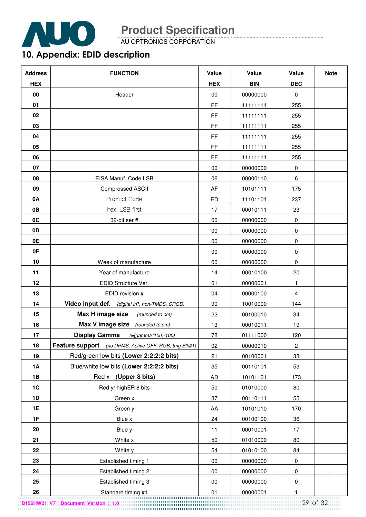

AU OPTRONICS CORPORATION

# 10. Appendix: EDID description

| <b>Address</b> | <b>FUNCTION</b>                                       | Value      | Value      | Value       | <b>Note</b> |
|----------------|-------------------------------------------------------|------------|------------|-------------|-------------|
| <b>HEX</b>     |                                                       | <b>HEX</b> | <b>BIN</b> | <b>DEC</b>  |             |
| 00             | Header                                                | 00         | 00000000   | 0           |             |
| 01             |                                                       | FF         | 11111111   | 255         |             |
| 02             |                                                       | FF         | 11111111   | 255         |             |
| 03             |                                                       | FF         | 11111111   | 255         |             |
| 04             |                                                       | FF         | 11111111   | 255         |             |
| 05             |                                                       | FF         | 11111111   | 255         |             |
| 06             |                                                       | FF         | 11111111   | 255         |             |
| 07             |                                                       | 00         | 00000000   | $\pmb{0}$   |             |
| 08             | EISA Manuf. Code LSB                                  | 06         | 00000110   | 6           |             |
| 09             | <b>Compressed ASCII</b>                               | AF         | 10101111   | 175         |             |
| 0A             | Product Code                                          | ED         | 11101101   | 237         |             |
| 0B             | hex, LSB first                                        | 17         | 00010111   | 23          |             |
| 0C             | 32-bit ser #                                          | 00         | 00000000   | 0           |             |
| 0D             |                                                       | 00         | 00000000   | $\pmb{0}$   |             |
| 0E             |                                                       | 00         | 00000000   | $\pmb{0}$   |             |
| 0F             |                                                       | 00         | 00000000   | $\pmb{0}$   |             |
| 10             | Week of manufacture                                   | 00         | 00000000   | $\mathbf 0$ |             |
| 11             | Year of manufacture                                   | 14         | 00010100   | 20          |             |
| 12             | EDID Structure Ver.                                   | 01         | 00000001   | 1           |             |
| 13             | EDID revision #                                       | 04         | 00000100   | 4           |             |
| 14             | Video input def. (digital I/P, non-TMDS, CRGB)        | 90         | 10010000   | 144         |             |
| 15             | Max H image size<br>(rounded to cm)                   | 22         | 00100010   | 34          |             |
| 16             | Max V image size<br>(rounded to cm)                   | 13         | 00010011   | 19          |             |
| 17             | <b>Display Gamma</b><br>$(=(gamma*100)-100)$          | 78         | 01111000   | 120         |             |
| 18             | Feature support (no DPMS, Active OFF, RGB, tmg Blk#1) | 02         | 00000010   | 2           |             |
| 19             | Red/green low bits (Lower 2:2:2:2 bits)               | 21         | 00100001   | 33          |             |
| <b>1A</b>      | Blue/white low bits (Lower 2:2:2:2 bits)              | 35         | 00110101   | 53          |             |
| 1B             | Red x (Upper 8 bits)                                  | <b>AD</b>  | 10101101   | 173         |             |
| $1C$           | Red y/ highER 8 bits                                  | 50         | 01010000   | 80          |             |
| 1D             | Green x                                               | 37         | 00110111   | 55          |             |
| 1E             | Green y                                               | AA         | 10101010   | 170         |             |
| 1F             | Blue x                                                | 24         | 00100100   | 36          |             |
| 20             | Blue y                                                | 11         | 00010001   | 17          |             |
| 21             | White x                                               | 50         | 01010000   | 80          |             |
| 22             | White y                                               | 54         | 01010100   | 84          |             |
| 23             | Established timing 1                                  | 00         | 00000000   | 0           |             |
| 24             | Established timing 2                                  | $00\,$     | 00000000   | 0           |             |
| 25             | Established timing 3                                  | 00         | 00000000   | 0           |             |
| 26             | Standard timing #1                                    | 01         | 00000001   |             |             |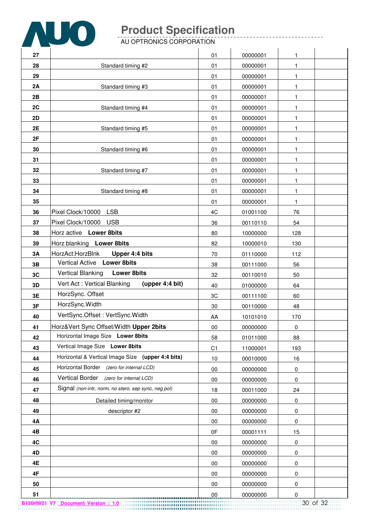

| 27        |                                                      | 01             | 00000001 | 1            |  |
|-----------|------------------------------------------------------|----------------|----------|--------------|--|
| 28        | Standard timing #2                                   | 01             | 00000001 | $\mathbf{1}$ |  |
| 29        |                                                      | 01             | 00000001 | $\mathbf{1}$ |  |
| 2A        | Standard timing #3                                   | 01             | 00000001 | $\mathbf{1}$ |  |
| 2B        |                                                      | 01             | 00000001 | 1            |  |
| 2C        | Standard timing #4                                   | 01             | 00000001 | $\mathbf{1}$ |  |
| <b>2D</b> |                                                      | 01             | 00000001 | 1            |  |
| 2E        | Standard timing #5                                   | 01             | 00000001 | $\mathbf{1}$ |  |
| 2F        |                                                      | 01             | 00000001 | $\mathbf{1}$ |  |
| 30        | Standard timing #6                                   | 01             | 00000001 | $\mathbf{1}$ |  |
| 31        |                                                      | 01             | 00000001 | $\mathbf{1}$ |  |
| 32        | Standard timing #7                                   | 01             | 00000001 | 1            |  |
| 33        |                                                      | 01             | 00000001 | 1            |  |
| 34        | Standard timing #8                                   | 01             | 00000001 | $\mathbf{1}$ |  |
| 35        |                                                      | 01             | 00000001 | 1            |  |
| 36        | Pixel Clock/10000 LSB                                | 4C             | 01001100 | 76           |  |
| 37        | Pixel Clock/10000<br><b>USB</b>                      | 36             | 00110110 | 54           |  |
| 38        | Horz active Lower 8bits                              | 80             | 10000000 | 128          |  |
| 39        | Horz blanking Lower 8bits                            | 82             | 10000010 | 130          |  |
| 3A        | HorzAct:HorzBlnk<br>Upper 4:4 bits                   | 70             | 01110000 | 112          |  |
| 3B        | Vertical Active Lower 8bits                          | 38             | 00111000 | 56           |  |
| 3C        | Vertical Blanking<br><b>Lower 8bits</b>              | 32             | 00110010 | 50           |  |
| 3D        | Vert Act: Vertical Blanking<br>(upper 4:4 bit)       | 40             | 01000000 | 64           |  |
| 3E        | HorzSync. Offset                                     | 3C             | 00111100 | 60           |  |
| 3F        | HorzSync.Width                                       | 30             | 00110000 | 48           |  |
| 40        | VertSync.Offset: VertSync.Width                      | AA             | 10101010 | 170          |  |
| 41        | Horz‖ Sync Offset/Width Upper 2bits                  | 00             | 00000000 | 0            |  |
| 42        | Horizontal Image Size Lower 8bits                    | 58             | 01011000 | 88           |  |
| 43        | Vertical Image Size Lower 8bits                      | C <sub>1</sub> | 11000001 | 193          |  |
| 44        | Horizontal & Vertical Image Size (upper 4:4 bits)    | 10             | 00010000 | 16           |  |
| 45        | Horizontal Border (zero for internal LCD)            | 00             | 00000000 | $\pmb{0}$    |  |
| 46        | Vertical Border (zero for internal LCD)              | $00\,$         | 00000000 | $\pmb{0}$    |  |
| 47        | Signal (non-intr, norm, no stero, sep sync, neg pol) | 18             | 00011000 | 24           |  |
| 48        | Detailed timing/monitor                              | 00             | 00000000 | $\pmb{0}$    |  |
| 49        | descriptor #2                                        | 00             | 00000000 | 0            |  |
| 4Α        |                                                      | 00             | 00000000 | 0            |  |
| 4B        |                                                      | 0F             | 00001111 | 15           |  |
| 4C        |                                                      | $00\,$         | 00000000 | $\pmb{0}$    |  |
| 4D        |                                                      | 00             | 00000000 | 0            |  |
| 4E        |                                                      | 00             | 00000000 | 0            |  |
| 4F        |                                                      | 00             | 00000000 | 0            |  |
| 50        |                                                      | 00             | 00000000 | 0            |  |
| 51        |                                                      | 00             | 00000000 | $\mathbf 0$  |  |

**B156HW01 V7 Document Version : 1.0** 30 of 32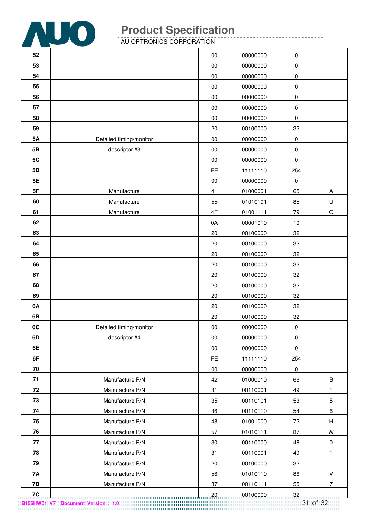

|            | <u>.</u>                |           |          |             |                           |
|------------|-------------------------|-----------|----------|-------------|---------------------------|
| 52         |                         | $00\,$    | 00000000 | 0           |                           |
| 53         |                         | 00        | 00000000 | $\pmb{0}$   |                           |
| 54         |                         | $00\,$    | 00000000 | $\pmb{0}$   |                           |
| 55         |                         | $00\,$    | 00000000 | $\pmb{0}$   |                           |
| 56         |                         | 00        | 00000000 | $\pmb{0}$   |                           |
| 57         |                         | $00\,$    | 00000000 | $\pmb{0}$   |                           |
| 58         |                         | $00\,$    | 00000000 | 0           |                           |
| 59         |                         | 20        | 00100000 | 32          |                           |
| <b>5A</b>  | Detailed timing/monitor | $00\,$    | 00000000 | $\pmb{0}$   |                           |
| 5 <b>B</b> | descriptor #3           | $00\,$    | 00000000 | $\pmb{0}$   |                           |
| 5C         |                         | $00\,$    | 00000000 | $\pmb{0}$   |                           |
| 5D         |                         | <b>FE</b> | 11111110 | 254         |                           |
| 5E         |                         | 00        | 00000000 | 0           |                           |
| 5F         | Manufacture             | 41        | 01000001 | 65          | A                         |
| 60         | Manufacture             | 55        | 01010101 | 85          | $\sf U$                   |
| 61         | Manufacture             | 4F        | 01001111 | 79          | $\circ$                   |
| 62         |                         | 0A        | 00001010 | 10          |                           |
| 63         |                         | 20        | 00100000 | 32          |                           |
| 64         |                         | 20        | 00100000 | 32          |                           |
| 65         |                         | 20        | 00100000 | 32          |                           |
| 66         |                         | 20        | 00100000 | 32          |                           |
| 67         |                         | 20        | 00100000 | 32          |                           |
| 68         |                         | 20        | 00100000 | 32          |                           |
| 69         |                         | 20        | 00100000 | 32          |                           |
| 6A         |                         | 20        | 00100000 | 32          |                           |
| 6B         |                         | 20        | 00100000 | 32          |                           |
| 6C         | Detailed timing/monitor | $00\,$    | 00000000 | $\pmb{0}$   |                           |
| 6D         | descriptor #4           | $00\,$    | 00000000 | $\pmb{0}$   |                           |
| 6E         |                         | $00\,$    | 00000000 | $\pmb{0}$   |                           |
| 6F         |                         | <b>FE</b> | 11111110 | 254         |                           |
| 70         |                         | 00        | 00000000 | $\mathsf 0$ |                           |
| 71         | Manufacture P/N         | 42        | 01000010 | 66          | B                         |
| 72         | Manufacture P/N         | 31        | 00110001 | 49          | $\mathbf{1}$              |
| 73         | Manufacture P/N         | 35        | 00110101 | 53          | $\mathbf 5$               |
| 74         | Manufacture P/N         | 36        | 00110110 | 54          | 6                         |
| 75         | Manufacture P/N         | 48        | 01001000 | 72          | $\boldsymbol{\mathsf{H}}$ |
| 76         | Manufacture P/N         | 57        | 01010111 | 87          | W                         |
| 77         | Manufacture P/N         | $30\,$    | 00110000 | 48          | $\mathbf 0$               |
| 78         | Manufacture P/N         | 31        | 00110001 | 49          | 1.                        |
| 79         | Manufacture P/N         | 20        | 00100000 | 32          |                           |
| <b>7A</b>  | Manufacture P/N         | 56        | 01010110 | 86          | $\sf V$                   |
| 7B         | Manufacture P/N         | 37        | 00110111 | 55          | $\overline{7}$            |
| 7C         |                         | 20        | 00100000 | 32          |                           |